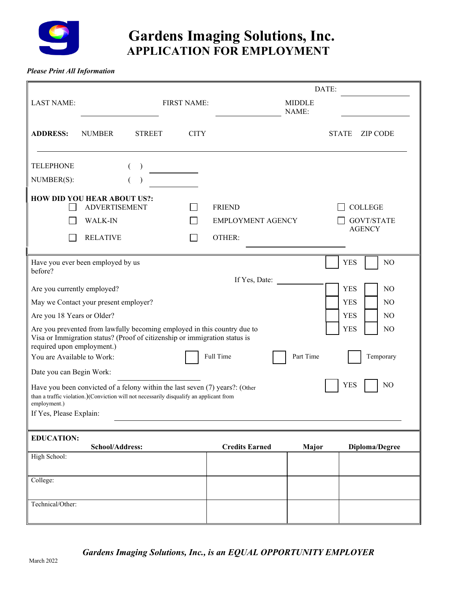

# **Gardens Imaging Solutions, Inc. APPLICATION FOR EMPLOYMENT**

*Please Print All Information*

|                                                                                                                                                                                                                                                                                                                                                                                                                                                                                                                                                                                                                                                                                                                                                                                                                                                 |                                        |               |                    |                                           |                        | DATE:        |                                     |
|-------------------------------------------------------------------------------------------------------------------------------------------------------------------------------------------------------------------------------------------------------------------------------------------------------------------------------------------------------------------------------------------------------------------------------------------------------------------------------------------------------------------------------------------------------------------------------------------------------------------------------------------------------------------------------------------------------------------------------------------------------------------------------------------------------------------------------------------------|----------------------------------------|---------------|--------------------|-------------------------------------------|------------------------|--------------|-------------------------------------|
| <b>LAST NAME:</b>                                                                                                                                                                                                                                                                                                                                                                                                                                                                                                                                                                                                                                                                                                                                                                                                                               |                                        |               | <b>FIRST NAME:</b> |                                           | <b>MIDDLE</b><br>NAME: |              |                                     |
| <b>ADDRESS:</b>                                                                                                                                                                                                                                                                                                                                                                                                                                                                                                                                                                                                                                                                                                                                                                                                                                 | <b>NUMBER</b>                          | <b>STREET</b> | <b>CITY</b>        |                                           |                        | <b>STATE</b> | <b>ZIP CODE</b>                     |
| <b>TELEPHONE</b><br>NUMBER(S):<br><b>HOW DID YOU HEAR ABOUT US?:</b>                                                                                                                                                                                                                                                                                                                                                                                                                                                                                                                                                                                                                                                                                                                                                                            | <b>ADVERTISEMENT</b><br><b>WALK-IN</b> | $\left($      | $\blacksquare$     | <b>FRIEND</b><br><b>EMPLOYMENT AGENCY</b> |                        |              | <b>COLLEGE</b><br><b>GOVT/STATE</b> |
|                                                                                                                                                                                                                                                                                                                                                                                                                                                                                                                                                                                                                                                                                                                                                                                                                                                 | <b>RELATIVE</b>                        |               | $\sim$             | OTHER:                                    |                        |              | <b>AGENCY</b>                       |
| Have you ever been employed by us<br><b>YES</b><br>NO<br>before?<br>If Yes, Date:<br><b>YES</b><br>Are you currently employed?<br>N <sub>O</sub><br>May we Contact your present employer?<br><b>YES</b><br>N <sub>O</sub><br><b>YES</b><br>Are you 18 Years or Older?<br>NO.<br>Are you prevented from lawfully becoming employed in this country due to<br><b>YES</b><br>N <sub>O</sub><br>Visa or Immigration status? (Proof of citizenship or immigration status is<br>required upon employment.)<br>You are Available to Work:<br>Full Time<br>Part Time<br>Temporary<br>Date you can Begin Work:<br>NO<br><b>YES</b><br>Have you been convicted of a felony within the last seven (7) years?: (Other<br>than a traffic violation.)(Conviction will not necessarily disqualify an applicant from<br>employment.)<br>If Yes, Please Explain: |                                        |               |                    |                                           |                        |              |                                     |
| <b>EDUCATION:</b><br>High School:                                                                                                                                                                                                                                                                                                                                                                                                                                                                                                                                                                                                                                                                                                                                                                                                               | School/Address:                        |               |                    | <b>Credits Earned</b>                     | Major                  |              | Diploma/Degree                      |
| College:<br>Technical/Other:                                                                                                                                                                                                                                                                                                                                                                                                                                                                                                                                                                                                                                                                                                                                                                                                                    |                                        |               |                    |                                           |                        |              |                                     |
|                                                                                                                                                                                                                                                                                                                                                                                                                                                                                                                                                                                                                                                                                                                                                                                                                                                 |                                        |               |                    |                                           |                        |              |                                     |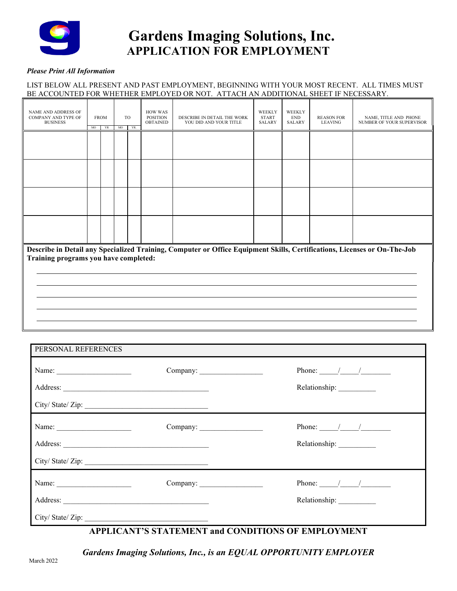

# **Gardens Imaging Solutions, Inc. APPLICATION FOR EMPLOYMENT**

### *Please Print All Information*

### LIST BELOW ALL PRESENT AND PAST EMPLOYMENT, BEGINNING WITH YOUR MOST RECENT. ALL TIMES MUST BE ACCOUNTED FOR WHETHER EMPLOYED OR NOT. ATTACH AN ADDITIONAL SHEET IF NECESSARY.

| NAME AND ADDRESS OF<br>COMPANY AND TYPE OF<br><b>BUSINESS</b>                                                                                                     | MO | <b>FROM</b><br>YR | MO | TO<br>YR. | <b>HOW WAS</b><br><b>POSITION</b><br><b>OBTAINED</b> | DESCRIBE IN DETAIL THE WORK<br>YOU DID AND YOUR TITLE | WEEKLY<br><b>START</b><br><b>SALARY</b> | WEEKLY<br><b>END</b><br><b>SALARY</b> | <b>REASON FOR</b><br><b>LEAVING</b> | NAME, TITLE AND PHONE<br>NUMBER OF YOUR SUPERVISOR |
|-------------------------------------------------------------------------------------------------------------------------------------------------------------------|----|-------------------|----|-----------|------------------------------------------------------|-------------------------------------------------------|-----------------------------------------|---------------------------------------|-------------------------------------|----------------------------------------------------|
|                                                                                                                                                                   |    |                   |    |           |                                                      |                                                       |                                         |                                       |                                     |                                                    |
|                                                                                                                                                                   |    |                   |    |           |                                                      |                                                       |                                         |                                       |                                     |                                                    |
|                                                                                                                                                                   |    |                   |    |           |                                                      |                                                       |                                         |                                       |                                     |                                                    |
|                                                                                                                                                                   |    |                   |    |           |                                                      |                                                       |                                         |                                       |                                     |                                                    |
| Describe in Detail any Specialized Training, Computer or Office Equipment Skills, Certifications, Licenses or On-The-Job<br>Training programs you have completed: |    |                   |    |           |                                                      |                                                       |                                         |                                       |                                     |                                                    |
|                                                                                                                                                                   |    |                   |    |           |                                                      |                                                       |                                         |                                       |                                     |                                                    |
|                                                                                                                                                                   |    |                   |    |           |                                                      |                                                       |                                         |                                       |                                     |                                                    |

| PERSONAL REFERENCES                                                                     |          |                                                                                                                                                                                                                                                                                                                                                                                                                          |
|-----------------------------------------------------------------------------------------|----------|--------------------------------------------------------------------------------------------------------------------------------------------------------------------------------------------------------------------------------------------------------------------------------------------------------------------------------------------------------------------------------------------------------------------------|
| City/State/Zip:                                                                         | Company: | Phone: $\frac{1}{\sqrt{1-\frac{1}{2}}}\frac{1}{\sqrt{1-\frac{1}{2}}}}$                                                                                                                                                                                                                                                                                                                                                   |
| Name: $\frac{1}{\sqrt{1-\frac{1}{2}} \cdot \frac{1}{2}}$<br>City/State/Zip:             | Company: | Phone: $\frac{1}{\sqrt{1-\frac{1}{2}}}\frac{1}{\sqrt{1-\frac{1}{2}}}\frac{1}{\sqrt{1-\frac{1}{2}}}\frac{1}{\sqrt{1-\frac{1}{2}}}\frac{1}{\sqrt{1-\frac{1}{2}}}\frac{1}{\sqrt{1-\frac{1}{2}}}\frac{1}{\sqrt{1-\frac{1}{2}}}\frac{1}{\sqrt{1-\frac{1}{2}}}\frac{1}{\sqrt{1-\frac{1}{2}}}\frac{1}{\sqrt{1-\frac{1}{2}}}\frac{1}{\sqrt{1-\frac{1}{2}}}\frac{1}{\sqrt{1-\frac{1}{2}}}\frac{1}{\sqrt{1-\frac{1}{2}}}\frac{1}{$ |
| Name: $\frac{1}{\sqrt{1-\frac{1}{2}} \cdot \frac{1}{2}}$<br>Address:<br>City/State/Zip: | Company: | Phone: $\frac{1}{\sqrt{1-\frac{1}{2}}}\frac{1}{\sqrt{1-\frac{1}{2}}}}$<br>Relationship: __________                                                                                                                                                                                                                                                                                                                       |

## **APPLICANT'S STATEMENT and CONDITIONS OF EMPLOYMENT**

*Gardens Imaging Solutions, Inc., is an EQUAL OPPORTUNITY EMPLOYER*